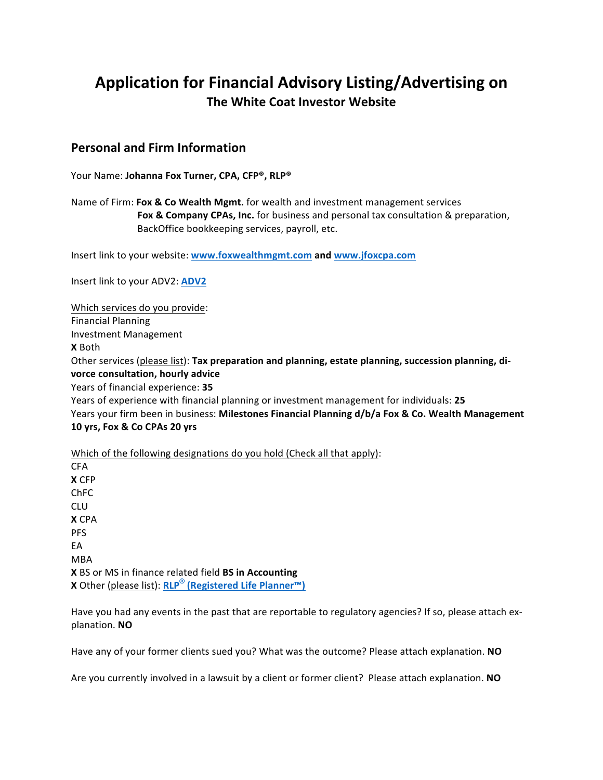# Application for Financial Advisory Listing/Advertising on **The White Coat Investor Website**

### **Personal and Firm Information**

Your Name: **Johanna Fox Turner, CPA, CFP<sup>®</sup>, RLP<sup>®</sup>** 

Name of Firm: **Fox & Co Wealth Mgmt.** for wealth and investment management services **Fox & Company CPAs, Inc.** for business and personal tax consultation & preparation, BackOffice bookkeeping services, payroll, etc.

Insert link to your website: www.foxwealthmgmt.com and www.jfoxcpa.com

Insert link to your ADV2: **ADV2** 

Which services do you provide: Financial Planning Investment Management **X** Both Other services (please list): Tax preparation and planning, estate planning, succession planning, di**vorce consultation, hourly advice** Years of financial experience: 35 Years of experience with financial planning or investment management for individuals: 25 Years your firm been in business: Milestones Financial Planning d/b/a Fox & Co. Wealth Management **10 yrs, Fox & Co CPAs 20 yrs** 

Which of the following designations do you hold (Check all that apply):

CFA **X** CFP ChFC CLU **X** CPA PFS EA MBA **X** BS or MS in finance related field **BS in Accounting X** Other (please list): **RLP® (Registered Life Planner™)**

Have you had any events in the past that are reportable to regulatory agencies? If so, please attach explanation. **NO**

Have any of your former clients sued you? What was the outcome? Please attach explanation. **NO** 

Are you currently involved in a lawsuit by a client or former client? Please attach explanation. **NO**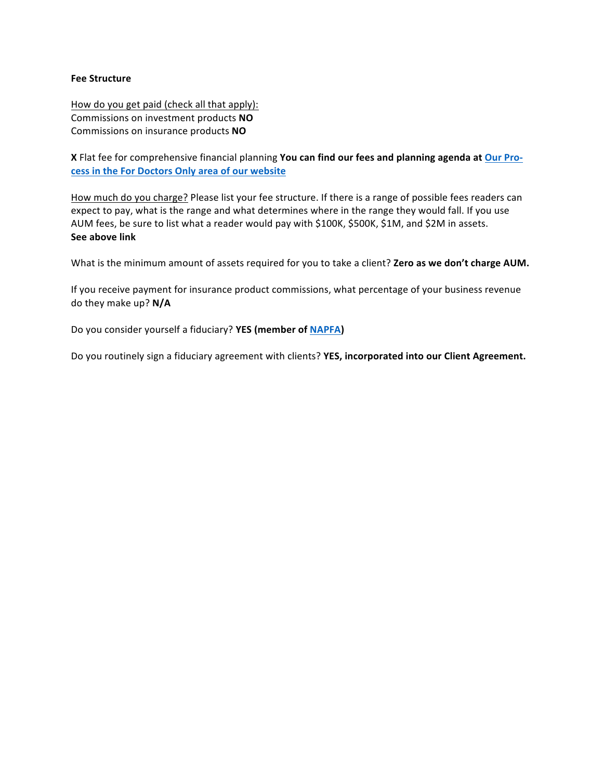#### **Fee Structure**

How do you get paid (check all that apply): Commissions on investment products **NO** Commissions on insurance products **NO** 

**X** Flat fee for comprehensive financial planning You can find our fees and planning agenda at Our Pro**cess in the For Doctors Only area of our website** 

How much do you charge? Please list your fee structure. If there is a range of possible fees readers can expect to pay, what is the range and what determines where in the range they would fall. If you use AUM fees, be sure to list what a reader would pay with \$100K, \$500K, \$1M, and \$2M in assets. **See above link**

What is the minimum amount of assets required for you to take a client? **Zero as we don't charge AUM.** 

If you receive payment for insurance product commissions, what percentage of your business revenue do they make up? **N/A**

Do you consider yourself a fiduciary? YES (member of NAPFA)

Do you routinely sign a fiduciary agreement with clients? YES, incorporated into our Client Agreement.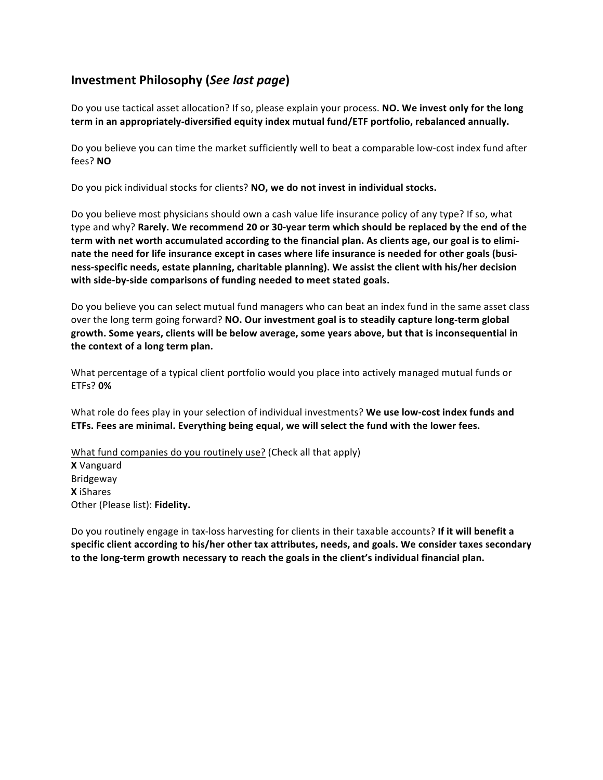# **Investment Philosophy (***See last page***)**

Do you use tactical asset allocation? If so, please explain your process. **NO. We invest only for the long term in an appropriately-diversified equity index mutual fund/ETF portfolio, rebalanced annually.** 

Do you believe you can time the market sufficiently well to beat a comparable low-cost index fund after fees? **NO**

Do you pick individual stocks for clients? **NO, we do not invest in individual stocks.** 

Do you believe most physicians should own a cash value life insurance policy of any type? If so, what type and why? Rarely. We recommend 20 or 30-year term which should be replaced by the end of the term with net worth accumulated according to the financial plan. As clients age, our goal is to eliminate the need for life insurance except in cases where life insurance is needed for other goals (business-specific needs, estate planning, charitable planning). We assist the client with his/her decision with side-by-side comparisons of funding needed to meet stated goals.

Do you believe you can select mutual fund managers who can beat an index fund in the same asset class over the long term going forward? NO. Our investment goal is to steadily capture long-term global growth. Some years, clients will be below average, some years above, but that is inconsequential in the context of a long term plan.

What percentage of a typical client portfolio would you place into actively managed mutual funds or ETFs? **0%**

What role do fees play in your selection of individual investments? We use low-cost index funds and **ETFs.** Fees are minimal. Everything being equal, we will select the fund with the lower fees.

What fund companies do you routinely use? (Check all that apply) **X** Vanguard Bridgeway **X** iShares Other (Please list): Fidelity.

Do you routinely engage in tax-loss harvesting for clients in their taxable accounts? If it will benefit a specific client according to his/her other tax attributes, needs, and goals. We consider taxes secondary to the long-term growth necessary to reach the goals in the client's individual financial plan.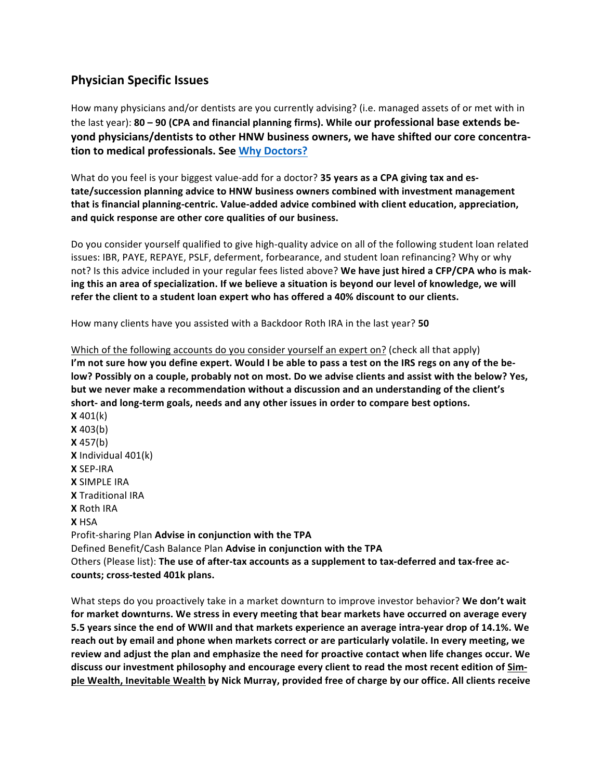## **Physician Specific Issues**

How many physicians and/or dentists are you currently advising? (i.e. managed assets of or met with in the last year): 80 - 90 (CPA and financial planning firms). While our professional base extends be**yond physicians/dentists to other HNW business owners, we have shifted our core concentra**tion to medical professionals. See Why Doctors?

What do you feel is your biggest value-add for a doctor? **35 years as a CPA giving tax and es**tate/succession planning advice to HNW business owners combined with investment management that is financial planning-centric. Value-added advice combined with client education, appreciation, **and quick response are other core qualities of our business.**

Do you consider yourself qualified to give high-quality advice on all of the following student loan related issues: IBR, PAYE, REPAYE, PSLF, deferment, forbearance, and student loan refinancing? Why or why not? Is this advice included in your regular fees listed above? We have just hired a CFP/CPA who is making this an area of specialization. If we believe a situation is beyond our level of knowledge, we will refer the client to a student loan expert who has offered a 40% discount to our clients.

How many clients have you assisted with a Backdoor Roth IRA in the last year? **50** 

Which of the following accounts do you consider yourself an expert on? (check all that apply) I'm not sure how you define expert. Would I be able to pass a test on the IRS regs on any of the below? Possibly on a couple, probably not on most. Do we advise clients and assist with the below? Yes, but we never make a recommendation without a discussion and an understanding of the client's short- and long-term goals, needs and any other issues in order to compare best options. **X** 401(k) **X** 403(b) **X** 457(b) **X** Individual 401(k) **X** SEP-IRA **X** SIMPLE IRA **X** Traditional IRA **X** Roth IRA **X** HSA Profit-sharing Plan **Advise in conjunction with the TPA** Defined Benefit/Cash Balance Plan **Advise in conjunction with the TPA** Others (Please list): The use of after-tax accounts as a supplement to tax-deferred and tax-free ac**counts; cross-tested 401k plans.** 

What steps do you proactively take in a market downturn to improve investor behavior? We don't wait for market downturns. We stress in every meeting that bear markets have occurred on average every 5.5 years since the end of WWII and that markets experience an average intra-year drop of 14.1%. We reach out by email and phone when markets correct or are particularly volatile. In every meeting, we review and adjust the plan and emphasize the need for proactive contact when life changes occur. We discuss our investment philosophy and encourage every client to read the most recent edition of Sim**ple Wealth, Inevitable Wealth by Nick Murray, provided free of charge by our office. All clients receive**